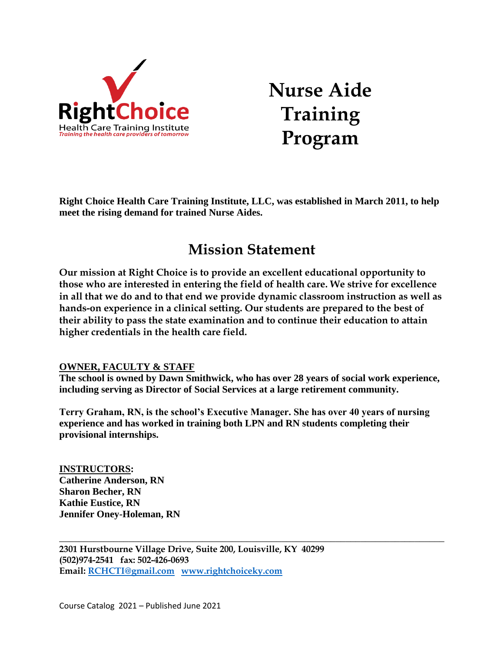

# **Nurse Aide Training Program**

**Right Choice Health Care Training Institute, LLC, was established in March 2011, to help meet the rising demand for trained Nurse Aides.**

# **Mission Statement**

**Our mission at Right Choice is to provide an excellent educational opportunity to those who are interested in entering the field of health care. We strive for excellence in all that we do and to that end we provide dynamic classroom instruction as well as hands-on experience in a clinical setting. Our students are prepared to the best of their ability to pass the state examination and to continue their education to attain higher credentials in the health care field.** 

# **OWNER, FACULTY & STAFF**

**The school is owned by Dawn Smithwick, who has over 28 years of social work experience, including serving as Director of Social Services at a large retirement community.**

**Terry Graham, RN, is the school's Executive Manager. She has over 40 years of nursing experience and has worked in training both LPN and RN students completing their provisional internships.**

**INSTRUCTORS: Catherine Anderson, RN Sharon Becher, RN Kathie Eustice, RN Jennifer Oney-Holeman, RN**

**\_\_\_\_\_\_\_\_\_\_\_\_\_\_\_\_\_\_\_\_\_\_\_\_\_\_\_\_\_\_\_\_\_\_\_\_\_\_\_\_\_\_\_\_\_\_\_\_\_\_\_\_\_\_\_\_\_\_\_\_\_\_\_\_\_\_\_\_\_\_\_\_\_\_\_\_\_\_ 2301 Hurstbourne Village Drive, Suite 200, Louisville, KY 40299 (502)974-2541 fax: 502-426-0693 Email: [RCHCTI@gmail.com www.rightchoiceky.com](about:blank)**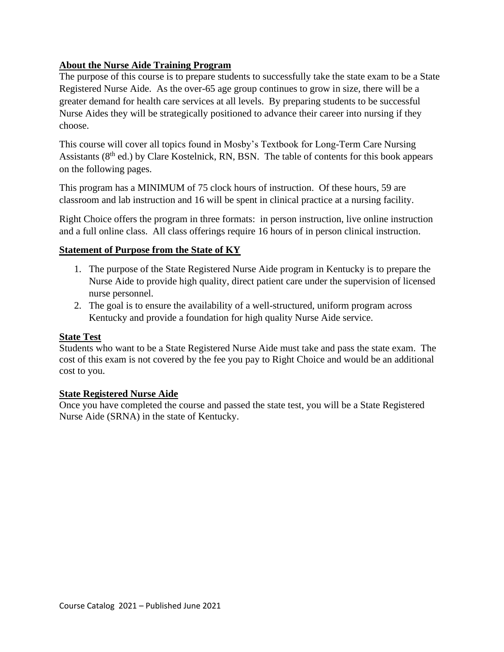# **About the Nurse Aide Training Program**

The purpose of this course is to prepare students to successfully take the state exam to be a State Registered Nurse Aide. As the over-65 age group continues to grow in size, there will be a greater demand for health care services at all levels. By preparing students to be successful Nurse Aides they will be strategically positioned to advance their career into nursing if they choose.

This course will cover all topics found in Mosby's Textbook for Long-Term Care Nursing Assistants (8<sup>th</sup> ed.) by Clare Kostelnick, RN, BSN. The table of contents for this book appears on the following pages.

This program has a MINIMUM of 75 clock hours of instruction. Of these hours, 59 are classroom and lab instruction and 16 will be spent in clinical practice at a nursing facility.

Right Choice offers the program in three formats: in person instruction, live online instruction and a full online class. All class offerings require 16 hours of in person clinical instruction.

# **Statement of Purpose from the State of KY**

- 1. The purpose of the State Registered Nurse Aide program in Kentucky is to prepare the Nurse Aide to provide high quality, direct patient care under the supervision of licensed nurse personnel.
- 2. The goal is to ensure the availability of a well-structured, uniform program across Kentucky and provide a foundation for high quality Nurse Aide service.

# **State Test**

Students who want to be a State Registered Nurse Aide must take and pass the state exam. The cost of this exam is not covered by the fee you pay to Right Choice and would be an additional cost to you.

# **State Registered Nurse Aide**

Once you have completed the course and passed the state test, you will be a State Registered Nurse Aide (SRNA) in the state of Kentucky.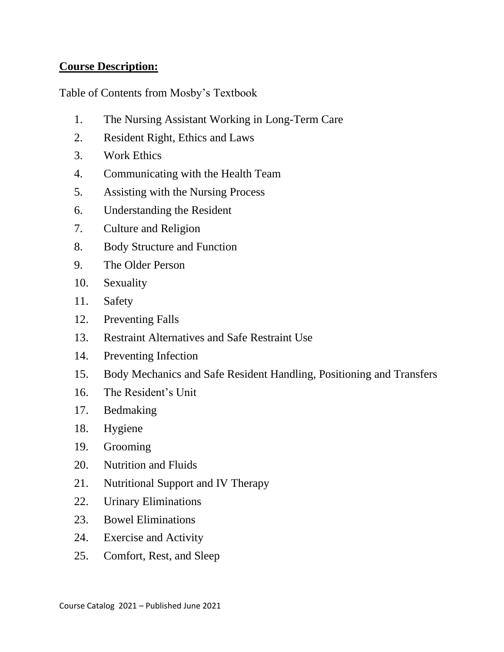# **Course Description:**

Table of Contents from Mosby's Textbook

- 1. The Nursing Assistant Working in Long-Term Care
- 2. Resident Right, Ethics and Laws
- 3. Work Ethics
- 4. Communicating with the Health Team
- 5. Assisting with the Nursing Process
- 6. Understanding the Resident
- 7. Culture and Religion
- 8. Body Structure and Function
- 9. The Older Person
- 10. Sexuality
- 11. Safety
- 12. Preventing Falls
- 13. Restraint Alternatives and Safe Restraint Use
- 14. Preventing Infection
- 15. Body Mechanics and Safe Resident Handling, Positioning and Transfers
- 16. The Resident's Unit
- 17. Bedmaking
- 18. Hygiene
- 19. Grooming
- 20. Nutrition and Fluids
- 21. Nutritional Support and IV Therapy
- 22. Urinary Eliminations
- 23. Bowel Eliminations
- 24. Exercise and Activity
- 25. Comfort, Rest, and Sleep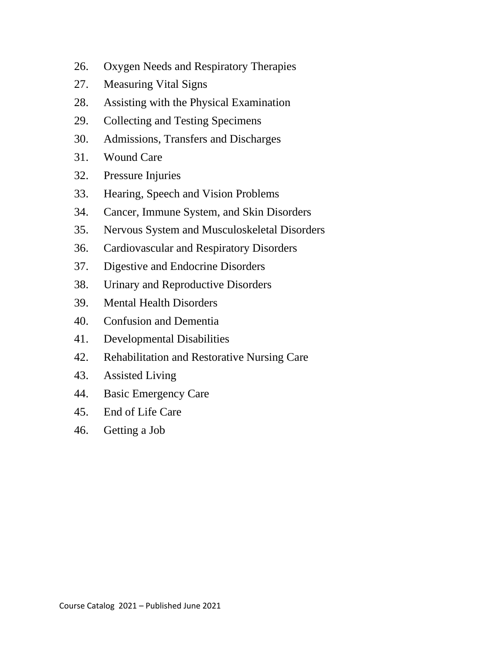- 26. Oxygen Needs and Respiratory Therapies
- 27. Measuring Vital Signs
- 28. Assisting with the Physical Examination
- 29. Collecting and Testing Specimens
- 30. Admissions, Transfers and Discharges
- 31. Wound Care
- 32. Pressure Injuries
- 33. Hearing, Speech and Vision Problems
- 34. Cancer, Immune System, and Skin Disorders
- 35. Nervous System and Musculoskeletal Disorders
- 36. Cardiovascular and Respiratory Disorders
- 37. Digestive and Endocrine Disorders
- 38. Urinary and Reproductive Disorders
- 39. Mental Health Disorders
- 40. Confusion and Dementia
- 41. Developmental Disabilities
- 42. Rehabilitation and Restorative Nursing Care
- 43. Assisted Living
- 44. Basic Emergency Care
- 45. End of Life Care
- 46. Getting a Job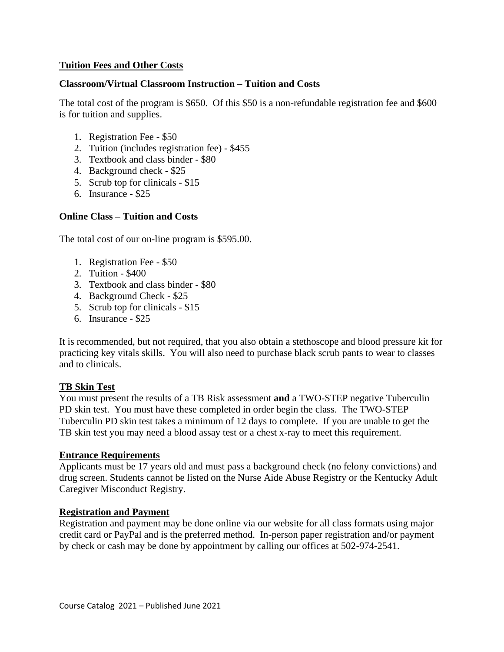#### **Tuition Fees and Other Costs**

#### **Classroom/Virtual Classroom Instruction – Tuition and Costs**

The total cost of the program is \$650. Of this \$50 is a non-refundable registration fee and \$600 is for tuition and supplies.

- 1. Registration Fee \$50
- 2. Tuition (includes registration fee) \$455
- 3. Textbook and class binder \$80
- 4. Background check \$25
- 5. Scrub top for clinicals \$15
- 6. Insurance \$25

#### **Online Class – Tuition and Costs**

The total cost of our on-line program is \$595.00.

- 1. Registration Fee \$50
- 2. Tuition \$400
- 3. Textbook and class binder \$80
- 4. Background Check \$25
- 5. Scrub top for clinicals \$15
- 6. Insurance \$25

It is recommended, but not required, that you also obtain a stethoscope and blood pressure kit for practicing key vitals skills. You will also need to purchase black scrub pants to wear to classes and to clinicals.

#### **TB Skin Test**

You must present the results of a TB Risk assessment **and** a TWO-STEP negative Tuberculin PD skin test. You must have these completed in order begin the class. The TWO-STEP Tuberculin PD skin test takes a minimum of 12 days to complete. If you are unable to get the TB skin test you may need a blood assay test or a chest x-ray to meet this requirement.

#### **Entrance Requirements**

Applicants must be 17 years old and must pass a background check (no felony convictions) and drug screen. Students cannot be listed on the Nurse Aide Abuse Registry or the Kentucky Adult Caregiver Misconduct Registry.

#### **Registration and Payment**

Registration and payment may be done online via our website for all class formats using major credit card or PayPal and is the preferred method. In-person paper registration and/or payment by check or cash may be done by appointment by calling our offices at 502-974-2541.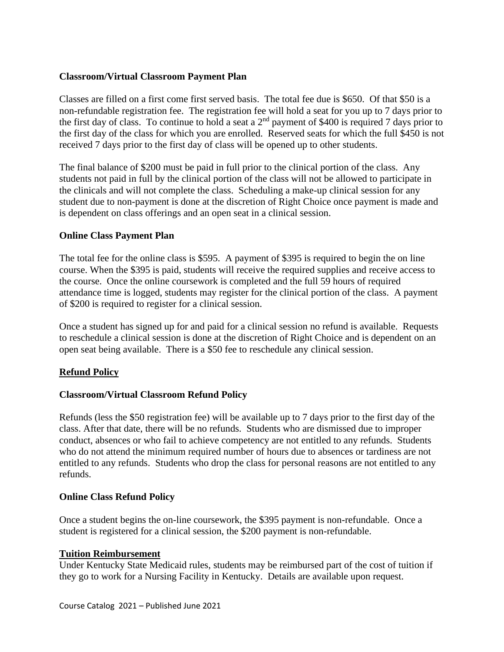#### **Classroom/Virtual Classroom Payment Plan**

Classes are filled on a first come first served basis. The total fee due is \$650. Of that \$50 is a non-refundable registration fee. The registration fee will hold a seat for you up to 7 days prior to the first day of class. To continue to hold a seat a  $2<sup>nd</sup>$  payment of \$400 is required 7 days prior to the first day of the class for which you are enrolled. Reserved seats for which the full \$450 is not received 7 days prior to the first day of class will be opened up to other students.

The final balance of \$200 must be paid in full prior to the clinical portion of the class. Any students not paid in full by the clinical portion of the class will not be allowed to participate in the clinicals and will not complete the class. Scheduling a make-up clinical session for any student due to non-payment is done at the discretion of Right Choice once payment is made and is dependent on class offerings and an open seat in a clinical session.

#### **Online Class Payment Plan**

The total fee for the online class is \$595. A payment of \$395 is required to begin the on line course. When the \$395 is paid, students will receive the required supplies and receive access to the course. Once the online coursework is completed and the full 59 hours of required attendance time is logged, students may register for the clinical portion of the class. A payment of \$200 is required to register for a clinical session.

Once a student has signed up for and paid for a clinical session no refund is available. Requests to reschedule a clinical session is done at the discretion of Right Choice and is dependent on an open seat being available. There is a \$50 fee to reschedule any clinical session.

# **Refund Policy**

# **Classroom/Virtual Classroom Refund Policy**

Refunds (less the \$50 registration fee) will be available up to 7 days prior to the first day of the class. After that date, there will be no refunds. Students who are dismissed due to improper conduct, absences or who fail to achieve competency are not entitled to any refunds. Students who do not attend the minimum required number of hours due to absences or tardiness are not entitled to any refunds. Students who drop the class for personal reasons are not entitled to any refunds.

#### **Online Class Refund Policy**

Once a student begins the on-line coursework, the \$395 payment is non-refundable. Once a student is registered for a clinical session, the \$200 payment is non-refundable.

#### **Tuition Reimbursement**

Under Kentucky State Medicaid rules, students may be reimbursed part of the cost of tuition if they go to work for a Nursing Facility in Kentucky. Details are available upon request.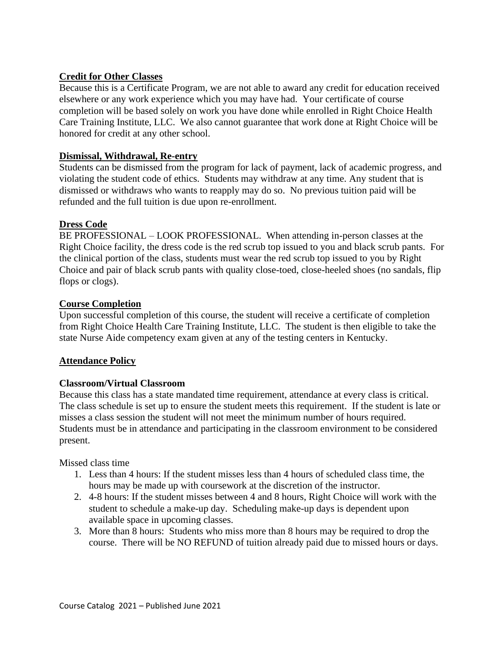# **Credit for Other Classes**

Because this is a Certificate Program, we are not able to award any credit for education received elsewhere or any work experience which you may have had. Your certificate of course completion will be based solely on work you have done while enrolled in Right Choice Health Care Training Institute, LLC. We also cannot guarantee that work done at Right Choice will be honored for credit at any other school.

### **Dismissal, Withdrawal, Re-entry**

Students can be dismissed from the program for lack of payment, lack of academic progress, and violating the student code of ethics. Students may withdraw at any time. Any student that is dismissed or withdraws who wants to reapply may do so. No previous tuition paid will be refunded and the full tuition is due upon re-enrollment.

#### **Dress Code**

BE PROFESSIONAL – LOOK PROFESSIONAL. When attending in-person classes at the Right Choice facility, the dress code is the red scrub top issued to you and black scrub pants. For the clinical portion of the class, students must wear the red scrub top issued to you by Right Choice and pair of black scrub pants with quality close-toed, close-heeled shoes (no sandals, flip flops or clogs).

#### **Course Completion**

Upon successful completion of this course, the student will receive a certificate of completion from Right Choice Health Care Training Institute, LLC. The student is then eligible to take the state Nurse Aide competency exam given at any of the testing centers in Kentucky.

#### **Attendance Policy**

#### **Classroom/Virtual Classroom**

Because this class has a state mandated time requirement, attendance at every class is critical. The class schedule is set up to ensure the student meets this requirement. If the student is late or misses a class session the student will not meet the minimum number of hours required. Students must be in attendance and participating in the classroom environment to be considered present.

Missed class time

- 1. Less than 4 hours: If the student misses less than 4 hours of scheduled class time, the hours may be made up with coursework at the discretion of the instructor.
- 2. 4-8 hours: If the student misses between 4 and 8 hours, Right Choice will work with the student to schedule a make-up day. Scheduling make-up days is dependent upon available space in upcoming classes.
- 3. More than 8 hours: Students who miss more than 8 hours may be required to drop the course. There will be NO REFUND of tuition already paid due to missed hours or days.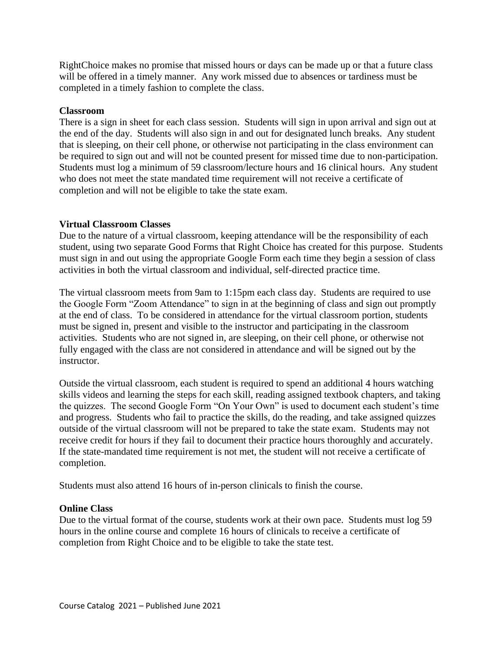RightChoice makes no promise that missed hours or days can be made up or that a future class will be offered in a timely manner. Any work missed due to absences or tardiness must be completed in a timely fashion to complete the class.

#### **Classroom**

There is a sign in sheet for each class session. Students will sign in upon arrival and sign out at the end of the day. Students will also sign in and out for designated lunch breaks. Any student that is sleeping, on their cell phone, or otherwise not participating in the class environment can be required to sign out and will not be counted present for missed time due to non-participation. Students must log a minimum of 59 classroom/lecture hours and 16 clinical hours. Any student who does not meet the state mandated time requirement will not receive a certificate of completion and will not be eligible to take the state exam.

#### **Virtual Classroom Classes**

Due to the nature of a virtual classroom, keeping attendance will be the responsibility of each student, using two separate Good Forms that Right Choice has created for this purpose. Students must sign in and out using the appropriate Google Form each time they begin a session of class activities in both the virtual classroom and individual, self-directed practice time.

The virtual classroom meets from 9am to 1:15pm each class day. Students are required to use the Google Form "Zoom Attendance" to sign in at the beginning of class and sign out promptly at the end of class. To be considered in attendance for the virtual classroom portion, students must be signed in, present and visible to the instructor and participating in the classroom activities. Students who are not signed in, are sleeping, on their cell phone, or otherwise not fully engaged with the class are not considered in attendance and will be signed out by the instructor.

Outside the virtual classroom, each student is required to spend an additional 4 hours watching skills videos and learning the steps for each skill, reading assigned textbook chapters, and taking the quizzes. The second Google Form "On Your Own" is used to document each student's time and progress. Students who fail to practice the skills, do the reading, and take assigned quizzes outside of the virtual classroom will not be prepared to take the state exam. Students may not receive credit for hours if they fail to document their practice hours thoroughly and accurately. If the state-mandated time requirement is not met, the student will not receive a certificate of completion.

Students must also attend 16 hours of in-person clinicals to finish the course.

#### **Online Class**

Due to the virtual format of the course, students work at their own pace. Students must log 59 hours in the online course and complete 16 hours of clinicals to receive a certificate of completion from Right Choice and to be eligible to take the state test.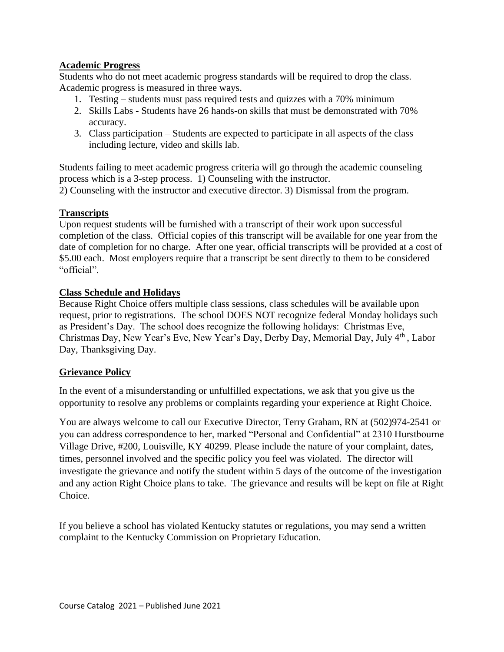# **Academic Progress**

Students who do not meet academic progress standards will be required to drop the class. Academic progress is measured in three ways.

- 1. Testing students must pass required tests and quizzes with a 70% minimum
- 2. Skills Labs Students have 26 hands-on skills that must be demonstrated with 70% accuracy.
- 3. Class participation Students are expected to participate in all aspects of the class including lecture, video and skills lab.

Students failing to meet academic progress criteria will go through the academic counseling process which is a 3-step process. 1) Counseling with the instructor.

2) Counseling with the instructor and executive director. 3) Dismissal from the program.

# **Transcripts**

Upon request students will be furnished with a transcript of their work upon successful completion of the class. Official copies of this transcript will be available for one year from the date of completion for no charge. After one year, official transcripts will be provided at a cost of \$5.00 each. Most employers require that a transcript be sent directly to them to be considered "official".

# **Class Schedule and Holidays**

Because Right Choice offers multiple class sessions, class schedules will be available upon request, prior to registrations. The school DOES NOT recognize federal Monday holidays such as President's Day. The school does recognize the following holidays: Christmas Eve, Christmas Day, New Year's Eve, New Year's Day, Derby Day, Memorial Day, July 4th , Labor Day, Thanksgiving Day.

# **Grievance Policy**

In the event of a misunderstanding or unfulfilled expectations, we ask that you give us the opportunity to resolve any problems or complaints regarding your experience at Right Choice.

You are always welcome to call our Executive Director, Terry Graham, RN at (502)974-2541 or you can address correspondence to her, marked "Personal and Confidential" at 2310 Hurstbourne Village Drive, #200, Louisville, KY 40299. Please include the nature of your complaint, dates, times, personnel involved and the specific policy you feel was violated. The director will investigate the grievance and notify the student within 5 days of the outcome of the investigation and any action Right Choice plans to take. The grievance and results will be kept on file at Right Choice.

If you believe a school has violated Kentucky statutes or regulations, you may send a written complaint to the Kentucky Commission on Proprietary Education.